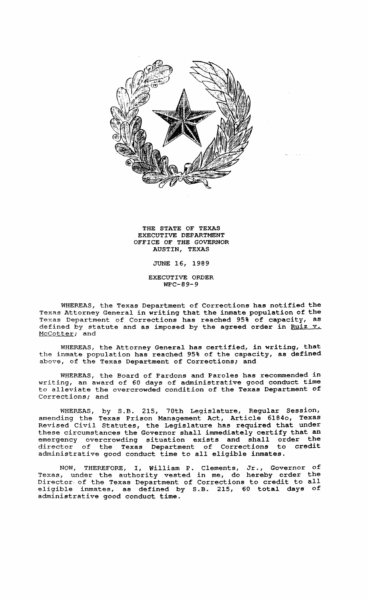

THE STATE OF TEXAS EXECUTIVE DEPARTMENT OFFICE OF THE GOVERNOR AUSTIN, TEXAS

JUNE 16, 1989

EXECUTIVE ORDER WPC-89-9

WHgREAS, the Texas Department of Corrections has notified the Texas Attorney General in writing that the inmate population of the Texas Department of Corrections has reached 95% of capacity, as defined by statute and as imposed by the agreed order in Ruiz v. McCotter; and

WHEREAS, the Attorney General has certified, in writing, that the inmate population has reached 95% of the capacity, as defined above, of the Texas Department of Corrections; and

WHEREAS, the Board of Pardons and Paroles has recommended in writing, an award of 60 days of administrative good conduct time to alleviate the overcrowded condition of the Texas Department of Corrections; and

WHEREAS, by S.B. 215, 70th Legislature, Regular Session, amending the Texas Prison Management Act, Article 61840, Texas Revised Civil Statutes, the Legislature has required that under these circumstances the Governor shall immediately certify that an emergency overcrowding situation exists and shall order the emergency overcrowding situation exists and shall order the director of the Texas Department of Corrections to credit administrative good conduct time to all eligible inmates.

NOW, THEREFORE, I, William P. Clements, Jr., Governor of Texas, under the authority vested in me, do hereby order the Director. of the Texas Department of Corrections to credit to all eligible inmates, as defined by S.B. 215, 60 total days of administrative good conduct time.